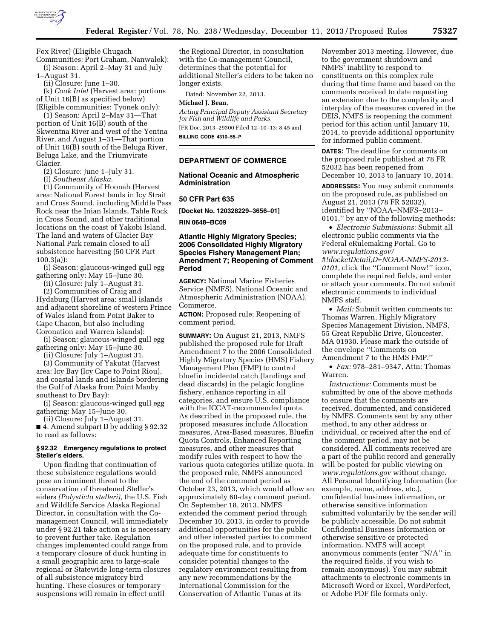

Fox River) (Eligible Chugach

Communities: Port Graham, Nanwalek): (i) Season: April 2–May 31 and July

1–August 31.

(ii) Closure: June 1–30.

(k) *Cook Inlet* (Harvest area: portions of Unit 16[B] as specified below) (Eligible communities: Tyonek only):

(1) Season: April 2–May 31—That portion of Unit 16(B) south of the Skwentna River and west of the Yentna River, and August 1–31—That portion of Unit 16(B) south of the Beluga River, Beluga Lake, and the Triumvirate Glacier.

(2) Closure: June 1–July 31.

(l) *Southeast Alaska.* 

(1) Community of Hoonah (Harvest area: National Forest lands in Icy Strait and Cross Sound, including Middle Pass Rock near the Inian Islands, Table Rock in Cross Sound, and other traditional locations on the coast of Yakobi Island. The land and waters of Glacier Bay National Park remain closed to all subsistence harvesting (50 CFR Part  $100.3(a)$ :

(i) Season: glaucous-winged gull egg gathering only: May 15–June 30.

(ii) Closure: July 1–August 31.

(2) Communities of Craig and

Hydaburg (Harvest area: small islands and adjacent shoreline of western Prince of Wales Island from Point Baker to Cape Chacon, but also including Coronation and Warren islands):

(i) Season: glaucous-winged gull egg gathering only: May 15–June 30.

(ii) Closure: July 1–August 31.

(3) Community of Yakutat (Harvest area: Icy Bay (Icy Cape to Point Riou), and coastal lands and islands bordering the Gulf of Alaska from Point Manby southeast to Dry Bay):

(i) Season: glaucous-winged gull egg gathering: May 15–June 30.

(ii) Closure: July 1–August 31. ■ 4. Amend subpart D by adding § 92.32 to read as follows:

# **§ 92.32 Emergency regulations to protect Steller's eiders.**

Upon finding that continuation of these subsistence regulations would pose an imminent threat to the conservation of threatened Steller's eiders *(Polysticta stelleri),* the U.S. Fish and Wildlife Service Alaska Regional Director, in consultation with the Comanagement Council, will immediately under § 92.21 take action as is necessary to prevent further take. Regulation changes implemented could range from a temporary closure of duck hunting in a small geographic area to large-scale regional or Statewide long-term closures of all subsistence migratory bird hunting. These closures or temporary suspensions will remain in effect until

the Regional Director, in consultation with the Co-management Council, determines that the potential for additional Steller's eiders to be taken no longer exists.

Dated: November 22, 2013.

# **Michael J. Bean,**

*Acting Principal Deputy Assistant Secretary for Fish and Wildlife and Parks.* 

[FR Doc. 2013–29300 Filed 12–10–13; 8:45 am] **BILLING CODE 4310–55–P** 

#### **DEPARTMENT OF COMMERCE**

### **National Oceanic and Atmospheric Administration**

# **50 CFR Part 635**

**[Docket No. 120328229–3656–01]** 

#### **RIN 0648–BC09**

# **Atlantic Highly Migratory Species; 2006 Consolidated Highly Migratory Species Fishery Management Plan; Amendment 7; Reopening of Comment Period**

**AGENCY:** National Marine Fisheries Service (NMFS), National Oceanic and Atmospheric Administration (NOAA), Commerce.

**ACTION:** Proposed rule; Reopening of comment period.

**SUMMARY:** On August 21, 2013, NMFS published the proposed rule for Draft Amendment 7 to the 2006 Consolidated Highly Migratory Species (HMS) Fishery Management Plan (FMP) to control bluefin incidental catch (landings and dead discards) in the pelagic longline fishery, enhance reporting in all categories, and ensure U.S. compliance with the ICCAT-recommended quota. As described in the proposed rule, the proposed measures include Allocation measures, Area-Based measures, Bluefin Quota Controls, Enhanced Reporting measures, and other measures that modify rules with respect to how the various quota categories utilize quota. In the proposed rule, NMFS announced the end of the comment period as October 23, 2013, which would allow an approximately 60-day comment period. On September 18, 2013, NMFS extended the comment period through December 10, 2013, in order to provide additional opportunities for the public and other interested parties to comment on the proposed rule, and to provide adequate time for constituents to consider potential changes to the regulatory environment resulting from any new recommendations by the International Commission for the Conservation of Atlantic Tunas at its

November 2013 meeting. However, due to the government shutdown and NMFS' inability to respond to constituents on this complex rule during that time frame and based on the comments received to date requesting an extension due to the complexity and interplay of the measures covered in the DEIS, NMFS is reopening the comment period for this action until January 10, 2014, to provide additional opportunity for informed public comment.

**DATES:** The deadline for comments on the proposed rule published at 78 FR 52032 has been reopened from December 10, 2013 to January 10, 2014.

**ADDRESSES:** You may submit comments on the proposed rule, as published on August 21, 2013 (78 FR 52032), identified by ''NOAA–NMFS–2013– 0101,'' by any of the following methods:

• *Electronic Submissions:* Submit all electronic public comments via the Federal eRulemaking Portal. Go to *[www.regulations.gov/](http://www.regulations.gov/#!docketDetail;D=NOAA-NMFS-2013-0101) [#!docketDetail;D=NOAA-NMFS-2013-](http://www.regulations.gov/#!docketDetail;D=NOAA-NMFS-2013-0101) [0101,](http://www.regulations.gov/#!docketDetail;D=NOAA-NMFS-2013-0101)* click the ''Comment Now!'' icon, complete the required fields, and enter or attach your comments. Do not submit electronic comments to individual NMFS staff.

• *Mail:* Submit written comments to: Thomas Warren, Highly Migratory Species Management Division, NMFS, 55 Great Republic Drive, Gloucester, MA 01930. Please mark the outside of the envelope ''Comments on Amendment 7 to the HMS FMP.''

• *Fax:* 978–281–9347, Attn: Thomas Warren.

*Instructions:* Comments must be submitted by one of the above methods to ensure that the comments are received, documented, and considered by NMFS. Comments sent by any other method, to any other address or individual, or received after the end of the comment period, may not be considered. All comments received are a part of the public record and generally will be posted for public viewing on *[www.regulations.gov](http://www.regulations.gov)* without change. All Personal Identifying Information (for example, name, address, etc.), confidential business information, or otherwise sensitive information submitted voluntarily by the sender will be publicly accessible. Do not submit Confidential Business Information or otherwise sensitive or protected information. NMFS will accept anonymous comments (enter ''N/A'' in the required fields, if you wish to remain anonymous). You may submit attachments to electronic comments in Microsoft Word or Excel, WordPerfect, or Adobe PDF file formats only.